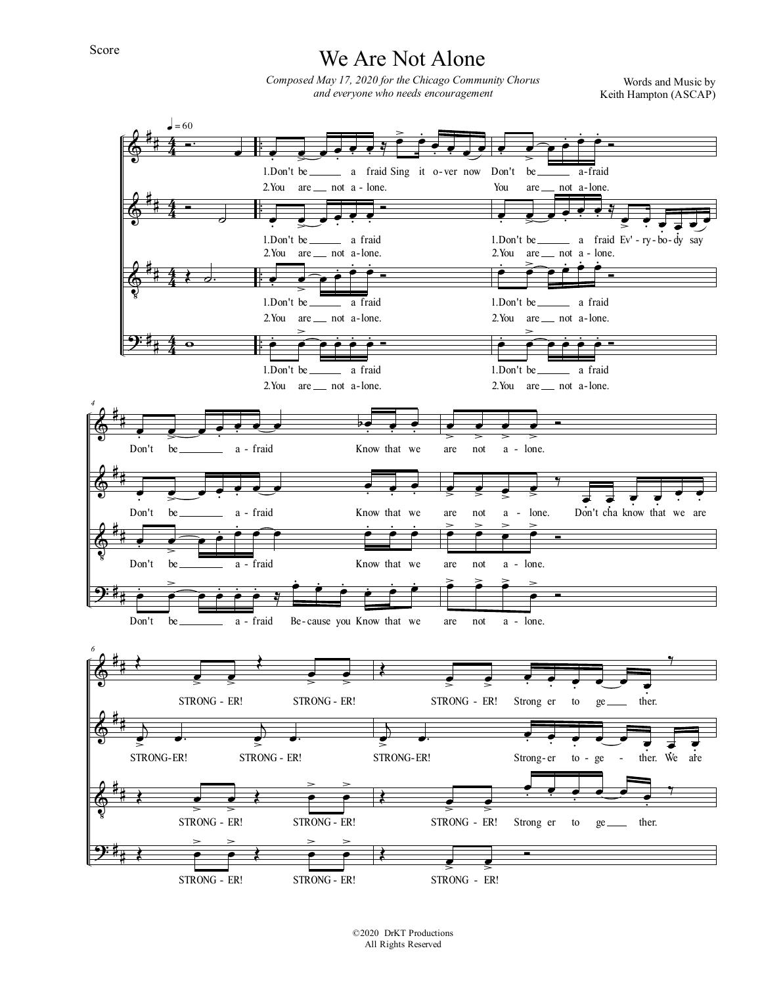## We Are Not Alone

Composed May 17, 2020 for the Chicago Community Chorus and everyone who needs encouragement

Words and Music by Keith Hampton (ASCAP)



©2020 DrKT Productions All Rights Reserved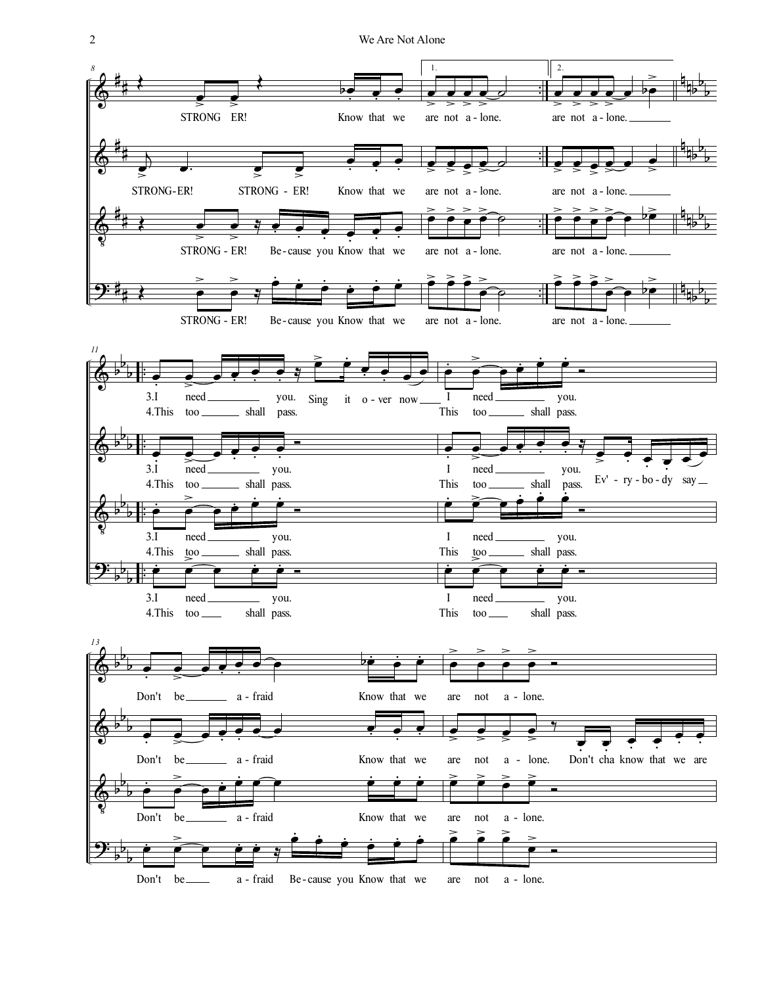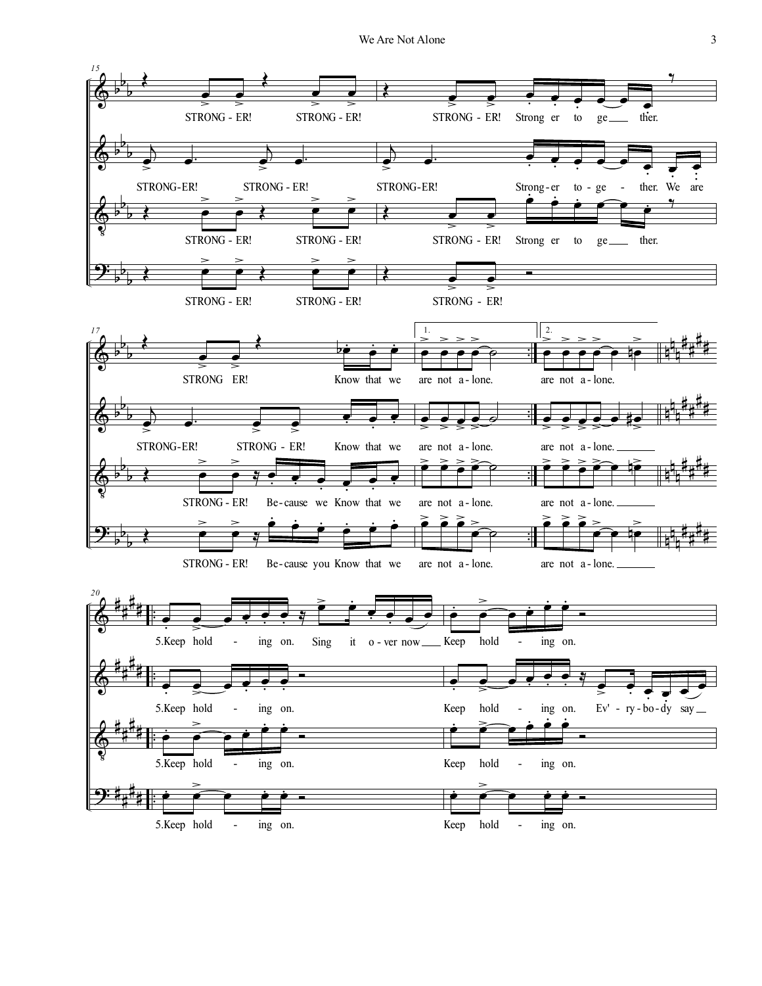